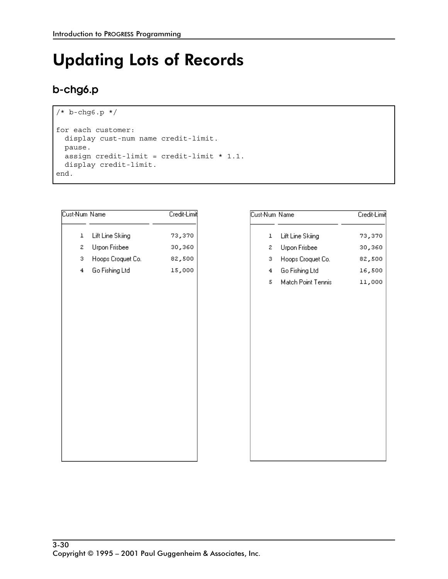# **Updating Lots of Records**

### b-chg6.p

```
/* b-chg6.p */
for each customer:
 display cust-num name credit-limit.
 pause.
 assign credit-limit = credit-limit * 1.1.
 display credit-limit.
end.
```

| Cust-Num Name           | Credit-Limit |
|-------------------------|--------------|
| Lift Line Skiing<br>ı   | 73,370       |
| Urpon Frisbee<br>2.     | 30,360       |
| Hoops Croquet Co.<br>з. | 82,500       |
| Go Fishing Ltd<br>4     | 15,000       |
|                         |              |
|                         |              |
|                         |              |
|                         |              |
|                         |              |
|                         |              |
|                         |              |
|                         |              |
|                         |              |
|                         |              |
|                         |              |
|                         |              |
|                         |              |

| Cust-Num Name  |                    | Credit-Limit |
|----------------|--------------------|--------------|
| $\mathbf{I}$   | Lift Line Skiing   | 73,370       |
| 2              | Urpon Frisbee      | 30,360       |
| з.             | Hoops Croquet Co.  | 82,500       |
| $\overline{4}$ | Go Fishing Ltd     | 16,500       |
| 5              | Match Point Tennis | 11,000       |
|                |                    |              |